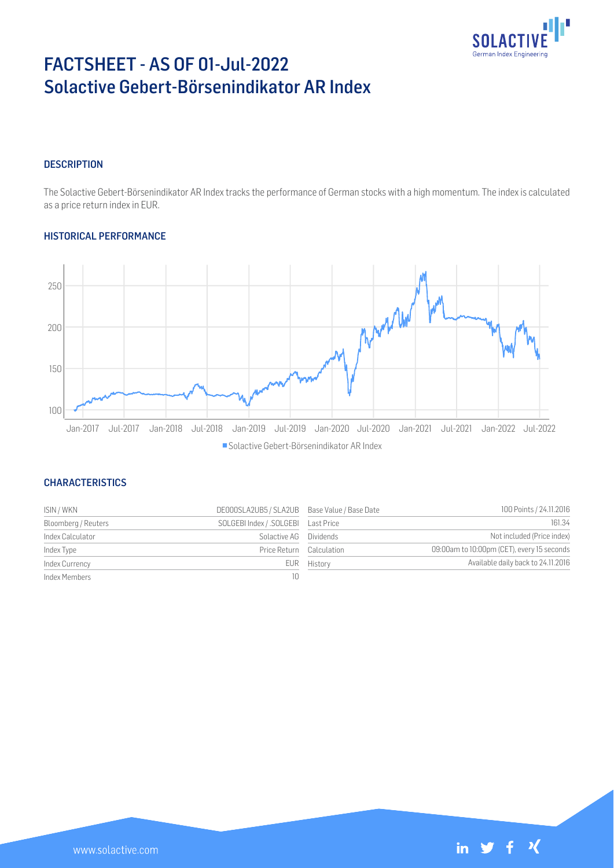

# FACTSHEET - AS OF 01-Jul-2022 Solactive Gebert-Börsenindikator AR Index

#### **DESCRIPTION**

The Solactive Gebert-Börsenindikator AR Index tracks the performance of German stocks with a high momentum. The index is calculated as a price return index in EUR.

#### HISTORICAL PERFORMANCE



### **CHARACTERISTICS**

| ISIN / WKN          | DE000SLA2UB5 / SLA2UB Base Value / Base Date |             | 100 Points / 24.11.2016                    |
|---------------------|----------------------------------------------|-------------|--------------------------------------------|
| Bloomberg / Reuters | SOLGEBI Index / .SOLGEBI Last Price          |             | 161.34                                     |
| Index Calculator    | Solactive AG Dividends                       |             | Not included (Price index)                 |
| Index Type          | Price Return Calculation                     |             | 09:00am to 10:00pm (CET), every 15 seconds |
| Index Currency      |                                              | EUR History | Available daily back to 24.11.2016         |
| Index Members       | 10                                           |             |                                            |

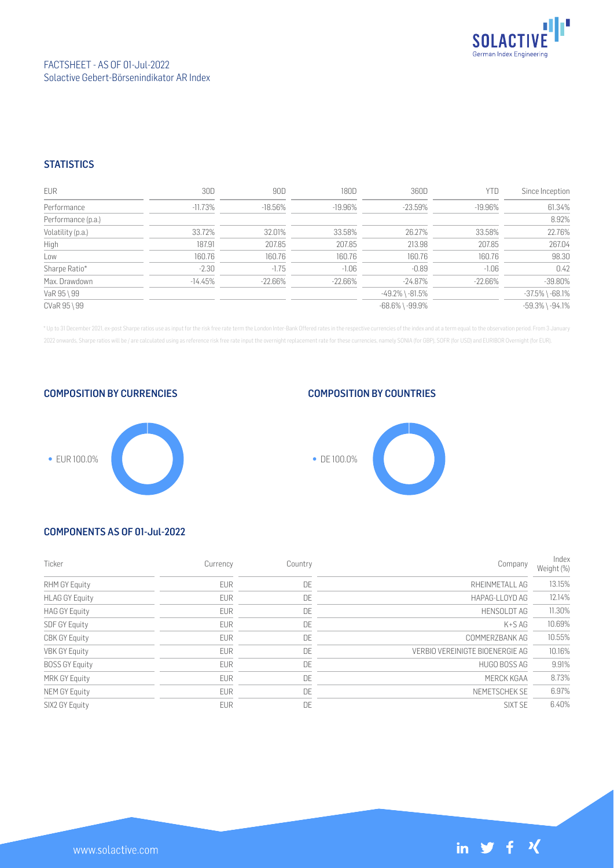

### **STATISTICS**

| <b>EUR</b>         | 30D       | 90D        | 180D       | 360D                  | <b>YTD</b> | Since Inception       |
|--------------------|-----------|------------|------------|-----------------------|------------|-----------------------|
| Performance        | $-11.73%$ | $-18.56\%$ | $-19.96\%$ | $-23.59%$             | $-19.96\%$ | 61.34%                |
| Performance (p.a.) |           |            |            |                       |            | 8.92%                 |
| Volatility (p.a.)  | 33.72%    | 32.01%     | 33.58%     | 26.27%                | 33.58%     | 22.76%                |
| High               | 187.91    | 207.85     | 207.85     | 213.98                | 207.85     | 267.04                |
| Low                | 160.76    | 160.76     | 160.76     | 160.76                | 160.76     | 98.30                 |
| Sharpe Ratio*      | $-2.30$   | $-1.75$    | $-1.06$    | $-0.89$               | $-1.06$    | 0.42                  |
| Max. Drawdown      | $-14.45%$ | $-22.66\%$ | $-22.66\%$ | $-24.87\%$            | $-22.66\%$ | $-39.80%$             |
| VaR 95 \ 99        |           |            |            | $-49.2\%$ \ $-81.5\%$ |            | $-37.5\%$ \ $-68.1\%$ |
| CVaR 95 \ 99       |           |            |            | $-68.6\%$ \ $-99.9\%$ |            | $-59.3\%$ \ $-94.1\%$ |

\* Up to 31 December 2021, ex-post Sharpe ratios use as input for the risk free rate term the London Inter-Bank Offered rates in the respective currencies of the index and at a term equal to the observation period. From 3 J 2022 onwards, Sharpe ratios will be / are calculated using as reference risk free rate input the overnight replacement rate for these currencies, namely SONIA (for GBP), SOFR (for USD) and EURIBOR Overnight (for EUR).

COMPOSITION BY CURRENCIES

## COMPOSITION BY COUNTRIES





## COMPONENTS AS OF 01-Jul-2022

| Ticker                | Currency   | Country | Company                         | Index<br>Weight (%) |
|-----------------------|------------|---------|---------------------------------|---------------------|
| RHM GY Equity         | <b>EUR</b> | DE      | RHEINMETALL AG                  | 13.15%              |
| <b>HLAG GY Equity</b> | <b>EUR</b> | DE      | HAPAG-LLOYD AG                  | 12.14%              |
| <b>HAG GY Equity</b>  | <b>EUR</b> | DE      | <b>HENSOLDT AG</b>              | 11.30%              |
| <b>SDF GY Equity</b>  | <b>EUR</b> | DE      | $K+SAG$                         | 10.69%              |
| <b>CBK GY Equity</b>  | <b>EUR</b> | DE      | COMMERZBANK AG                  | 10.55%              |
| <b>VBK GY Equity</b>  | <b>EUR</b> | DE      | VERBIO VEREINIGTE BIOENERGIE AG | 10.16%              |
| <b>BOSS GY Equity</b> | <b>EUR</b> | DE      | HUGO BOSS AG                    | 9.91%               |
| <b>MRK GY Equity</b>  | <b>EUR</b> | DE      | MERCK KGAA                      | 8.73%               |
| NEM GY Equity         | <b>EUR</b> | DE      | NEMETSCHEK SE                   | 6.97%               |
| SIX2 GY Equity        | <b>EUR</b> | DE      | SIXT SF                         | 6.40%               |